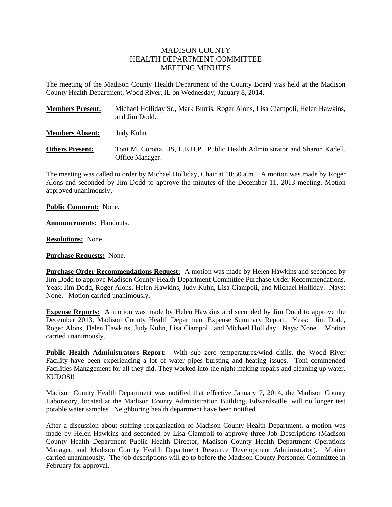## MADISON COUNTY HEALTH DEPARTMENT COMMITTEE MEETING MINUTES

The meeting of the Madison County Health Department of the County Board was held at the Madison County Health Department, Wood River, IL on Wednesday, January 8, 2014.

| <b>Members Present:</b> | Michael Holliday Sr., Mark Burris, Roger Alons, Lisa Ciampoli, Helen Hawkins,<br>and Jim Dodd.  |
|-------------------------|-------------------------------------------------------------------------------------------------|
| <b>Members Absent:</b>  | Judy Kuhn.                                                                                      |
| <b>Others Present:</b>  | Toni M. Corona, BS, L.E.H.P., Public Health Administrator and Sharon Kadell,<br>Office Manager. |

The meeting was called to order by Michael Holliday, Chair at 10:30 a.m. A motion was made by Roger Alons and seconded by Jim Dodd to approve the minutes of the December 11, 2013 meeting. Motion approved unanimously.

**Public Comment:** None.

**Announcements:** Handouts.

**Resolutions:** None.

**Purchase Requests:** None.

**Purchase Order Recommendations Request:** A motion was made by Helen Hawkins and seconded by Jim Dodd to approve Madison County Health Department Committee Purchase Order Recommendations. Yeas: Jim Dodd, Roger Alons, Helen Hawkins, Judy Kuhn, Lisa Ciampoli, and Michael Holliday. Nays: None. Motion carried unanimously.

**Expense Reports:** A motion was made by Helen Hawkins and seconded by Jim Dodd to approve the December 2013, Madison County Health Department Expense Summary Report. Yeas: Jim Dodd, Roger Alons, Helen Hawkins, Judy Kuhn, Lisa Ciampoli, and Michael Holliday. Nays: None. Motion carried unanimously.

**Public Health Administrators Report:** With sub zero temperatures/wind chills, the Wood River Facility have been experiencing a lot of water pipes bursting and heating issues. Toni commended Facilities Management for all they did. They worked into the night making repairs and cleaning up water. KUDOS!!

Madison County Health Department was notified that effective January 7, 2014, the Madison County Laboratory, located at the Madison County Administration Building, Edwardsville, will no longer test potable water samples. Neighboring health department have been notified.

After a discussion about staffing reorganization of Madison County Health Department, a motion was made by Helen Hawkins and seconded by Lisa Ciampoli to approve three Job Descriptions (Madison County Health Department Public Health Director, Madison County Health Department Operations Manager, and Madison County Health Department Resource Development Administrator). Motion carried unanimously. The job descriptions will go to before the Madison County Personnel Committee in February for approval.